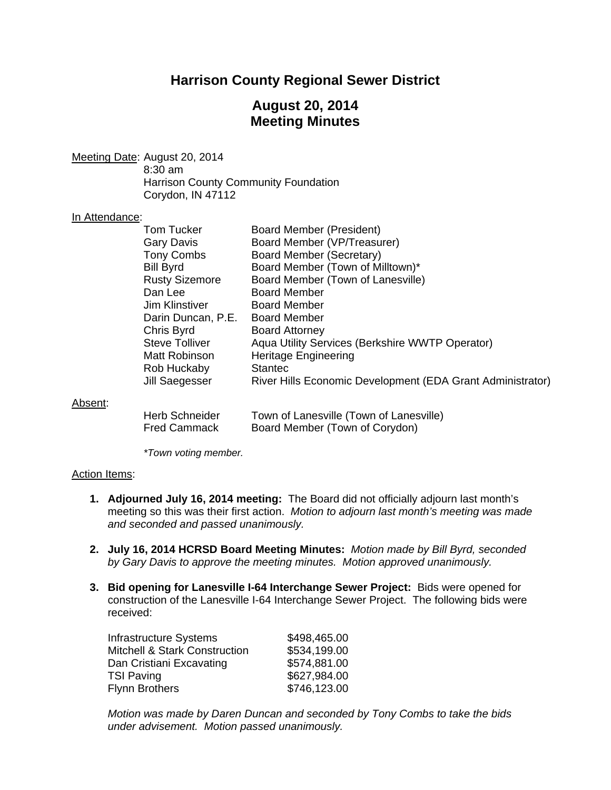# **Harrison County Regional Sewer District**

## **August 20, 2014 Meeting Minutes**

Meeting Date: August 20, 2014 8:30 am Harrison County Community Foundation Corydon, IN 47112

#### In Attendance:

|         | Tom Tucker            | <b>Board Member (President)</b>                            |
|---------|-----------------------|------------------------------------------------------------|
|         | <b>Gary Davis</b>     | Board Member (VP/Treasurer)                                |
|         | <b>Tony Combs</b>     | Board Member (Secretary)                                   |
|         | <b>Bill Byrd</b>      | Board Member (Town of Milltown)*                           |
|         | <b>Rusty Sizemore</b> | Board Member (Town of Lanesville)                          |
|         | Dan Lee               | <b>Board Member</b>                                        |
|         | Jim Klinstiver        | <b>Board Member</b>                                        |
|         | Darin Duncan, P.E.    | <b>Board Member</b>                                        |
|         | Chris Byrd            | <b>Board Attorney</b>                                      |
|         | <b>Steve Tolliver</b> | Aqua Utility Services (Berkshire WWTP Operator)            |
|         | Matt Robinson         | <b>Heritage Engineering</b>                                |
|         | Rob Huckaby           | <b>Stantec</b>                                             |
|         | Jill Saegesser        | River Hills Economic Development (EDA Grant Administrator) |
| Absent: |                       |                                                            |
|         | <b>Herb Schneider</b> | Town of Lanesville (Town of Lanesville)                    |
|         | <b>Fred Cammack</b>   | Board Member (Town of Corydon)                             |

 *\*Town voting member.* 

#### Action Items:

- **1. Adjourned July 16, 2014 meeting:** The Board did not officially adjourn last month's meeting so this was their first action. *Motion to adjourn last month's meeting was made and seconded and passed unanimously.*
- **2. July 16, 2014 HCRSD Board Meeting Minutes:** *Motion made by Bill Byrd, seconded by Gary Davis to approve the meeting minutes. Motion approved unanimously.*
- **3. Bid opening for Lanesville I-64 Interchange Sewer Project:** Bids were opened for construction of the Lanesville I-64 Interchange Sewer Project. The following bids were received:

| <b>Infrastructure Systems</b>            | \$498,465.00 |
|------------------------------------------|--------------|
| <b>Mitchell &amp; Stark Construction</b> | \$534,199.00 |
| Dan Cristiani Excavating                 | \$574,881.00 |
| TSI Paving                               | \$627,984.00 |
| Flynn Brothers                           | \$746,123.00 |
|                                          |              |

*Motion was made by Daren Duncan and seconded by Tony Combs to take the bids under advisement. Motion passed unanimously.*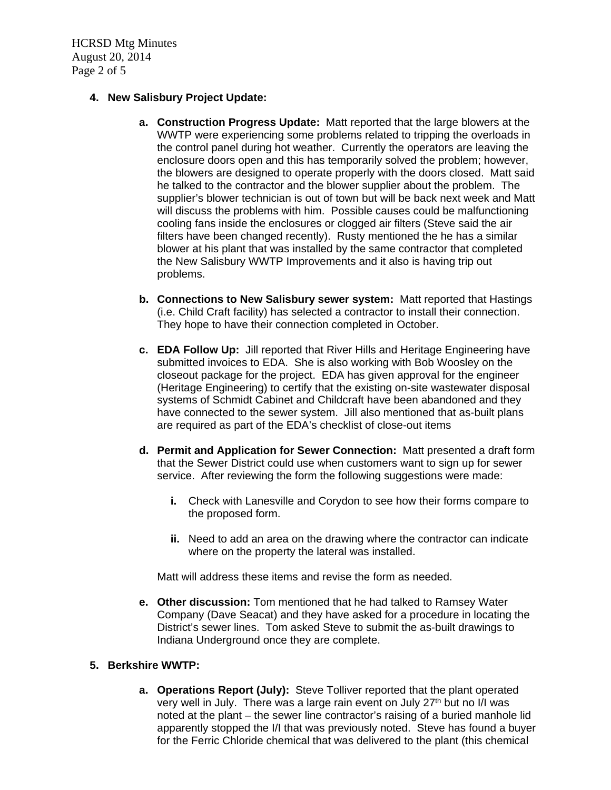HCRSD Mtg Minutes August 20, 2014 Page 2 of 5

## **4. New Salisbury Project Update:**

- **a. Construction Progress Update:** Matt reported that the large blowers at the WWTP were experiencing some problems related to tripping the overloads in the control panel during hot weather. Currently the operators are leaving the enclosure doors open and this has temporarily solved the problem; however, the blowers are designed to operate properly with the doors closed. Matt said he talked to the contractor and the blower supplier about the problem. The supplier's blower technician is out of town but will be back next week and Matt will discuss the problems with him. Possible causes could be malfunctioning cooling fans inside the enclosures or clogged air filters (Steve said the air filters have been changed recently). Rusty mentioned the he has a similar blower at his plant that was installed by the same contractor that completed the New Salisbury WWTP Improvements and it also is having trip out problems.
- **b. Connections to New Salisbury sewer system:** Matt reported that Hastings (i.e. Child Craft facility) has selected a contractor to install their connection. They hope to have their connection completed in October.
- **c. EDA Follow Up:** Jill reported that River Hills and Heritage Engineering have submitted invoices to EDA. She is also working with Bob Woosley on the closeout package for the project. EDA has given approval for the engineer (Heritage Engineering) to certify that the existing on-site wastewater disposal systems of Schmidt Cabinet and Childcraft have been abandoned and they have connected to the sewer system. Jill also mentioned that as-built plans are required as part of the EDA's checklist of close-out items
- **d. Permit and Application for Sewer Connection:** Matt presented a draft form that the Sewer District could use when customers want to sign up for sewer service. After reviewing the form the following suggestions were made:
	- **i.** Check with Lanesville and Corydon to see how their forms compare to the proposed form.
	- **ii.** Need to add an area on the drawing where the contractor can indicate where on the property the lateral was installed.

Matt will address these items and revise the form as needed.

**e. Other discussion:** Tom mentioned that he had talked to Ramsey Water Company (Dave Seacat) and they have asked for a procedure in locating the District's sewer lines. Tom asked Steve to submit the as-built drawings to Indiana Underground once they are complete.

## **5. Berkshire WWTP:**

**a. Operations Report (July):** Steve Tolliver reported that the plant operated very well in July. There was a large rain event on July 27<sup>th</sup> but no I/I was noted at the plant – the sewer line contractor's raising of a buried manhole lid apparently stopped the I/I that was previously noted. Steve has found a buyer for the Ferric Chloride chemical that was delivered to the plant (this chemical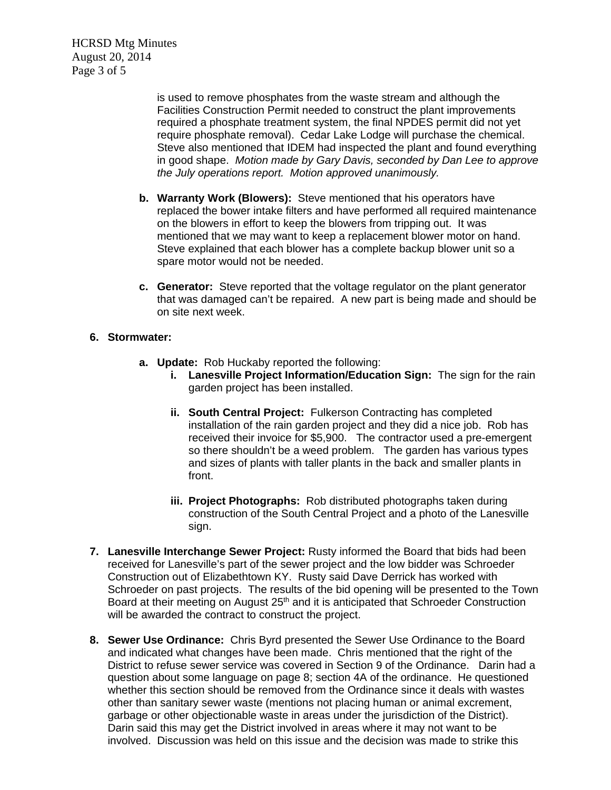HCRSD Mtg Minutes August 20, 2014 Page 3 of 5

> is used to remove phosphates from the waste stream and although the Facilities Construction Permit needed to construct the plant improvements required a phosphate treatment system, the final NPDES permit did not yet require phosphate removal). Cedar Lake Lodge will purchase the chemical. Steve also mentioned that IDEM had inspected the plant and found everything in good shape. *Motion made by Gary Davis, seconded by Dan Lee to approve the July operations report. Motion approved unanimously.*

- **b. Warranty Work (Blowers):** Steve mentioned that his operators have replaced the bower intake filters and have performed all required maintenance on the blowers in effort to keep the blowers from tripping out. It was mentioned that we may want to keep a replacement blower motor on hand. Steve explained that each blower has a complete backup blower unit so a spare motor would not be needed.
- **c. Generator:** Steve reported that the voltage regulator on the plant generator that was damaged can't be repaired. A new part is being made and should be on site next week.

### **6. Stormwater:**

- **a. Update:** Rob Huckaby reported the following:
	- **i.** Lanesville Project Information/Education Sign: The sign for the rain garden project has been installed.
	- **ii. South Central Project:** Fulkerson Contracting has completed installation of the rain garden project and they did a nice job. Rob has received their invoice for \$5,900. The contractor used a pre-emergent so there shouldn't be a weed problem. The garden has various types and sizes of plants with taller plants in the back and smaller plants in front.
	- **iii. Project Photographs:** Rob distributed photographs taken during construction of the South Central Project and a photo of the Lanesville sign.
- **7. Lanesville Interchange Sewer Project:** Rusty informed the Board that bids had been received for Lanesville's part of the sewer project and the low bidder was Schroeder Construction out of Elizabethtown KY. Rusty said Dave Derrick has worked with Schroeder on past projects. The results of the bid opening will be presented to the Town Board at their meeting on August 25<sup>th</sup> and it is anticipated that Schroeder Construction will be awarded the contract to construct the project.
- **8. Sewer Use Ordinance:** Chris Byrd presented the Sewer Use Ordinance to the Board and indicated what changes have been made. Chris mentioned that the right of the District to refuse sewer service was covered in Section 9 of the Ordinance. Darin had a question about some language on page 8; section 4A of the ordinance. He questioned whether this section should be removed from the Ordinance since it deals with wastes other than sanitary sewer waste (mentions not placing human or animal excrement, garbage or other objectionable waste in areas under the jurisdiction of the District). Darin said this may get the District involved in areas where it may not want to be involved. Discussion was held on this issue and the decision was made to strike this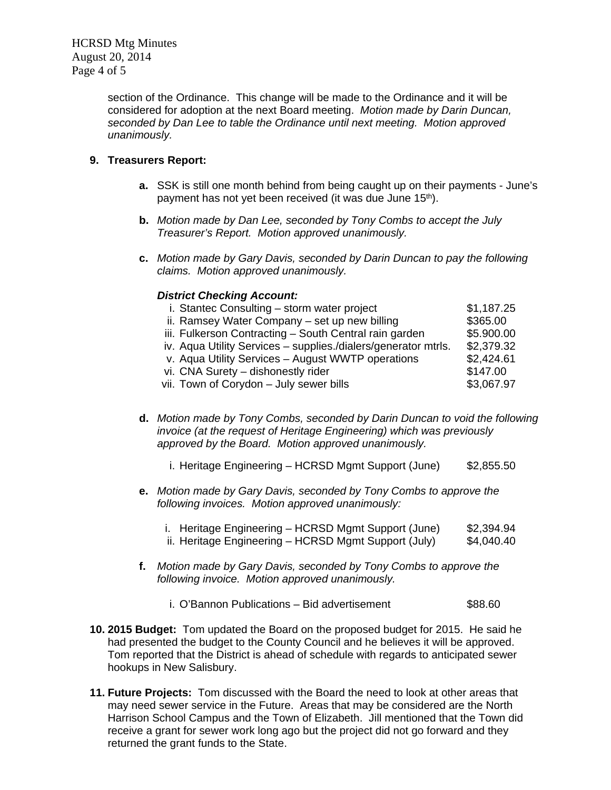section of the Ordinance. This change will be made to the Ordinance and it will be considered for adoption at the next Board meeting. *Motion made by Darin Duncan, seconded by Dan Lee to table the Ordinance until next meeting. Motion approved unanimously.*

## **9. Treasurers Report:**

- **a.** SSK is still one month behind from being caught up on their payments June's payment has not yet been received (it was due June 15<sup>th</sup>).
- **b.** *Motion made by Dan Lee, seconded by Tony Combs to accept the July Treasurer's Report. Motion approved unanimously.*
- **c.** *Motion made by Gary Davis, seconded by Darin Duncan to pay the following claims. Motion approved unanimously.*

### *District Checking Account:*

| i. Stantec Consulting - storm water project                    | \$1,187.25 |
|----------------------------------------------------------------|------------|
| ii. Ramsey Water Company – set up new billing                  | \$365.00   |
| iii. Fulkerson Contracting - South Central rain garden         | \$5.900.00 |
| iv. Aqua Utility Services - supplies./dialers/generator mtrls. | \$2,379.32 |
| v. Aqua Utility Services - August WWTP operations              | \$2,424.61 |
| vi. CNA Surety - dishonestly rider                             | \$147.00   |
| vii. Town of Corydon - July sewer bills                        | \$3,067.97 |
|                                                                |            |

- **d.** *Motion made by Tony Combs, seconded by Darin Duncan to void the following invoice (at the request of Heritage Engineering) which was previously approved by the Board. Motion approved unanimously.* 
	- i. Heritage Engineering HCRSD Mgmt Support (June) \$2,855.50
- **e.** *Motion made by Gary Davis, seconded by Tony Combs to approve the following invoices. Motion approved unanimously:* 
	- i. Heritage Engineering HCRSD Mgmt Support (June) \$2,394.94 ii. Heritage Engineering – HCRSD Mgmt Support (July) \$4,040.40
- **f.** *Motion made by Gary Davis, seconded by Tony Combs to approve the following invoice. Motion approved unanimously.*
	- i. O'Bannon Publications Bid advertisement \$88.60
- **10. 2015 Budget:** Tom updated the Board on the proposed budget for 2015. He said he had presented the budget to the County Council and he believes it will be approved. Tom reported that the District is ahead of schedule with regards to anticipated sewer hookups in New Salisbury.
- **11. Future Projects:** Tom discussed with the Board the need to look at other areas that may need sewer service in the Future. Areas that may be considered are the North Harrison School Campus and the Town of Elizabeth. Jill mentioned that the Town did receive a grant for sewer work long ago but the project did not go forward and they returned the grant funds to the State.